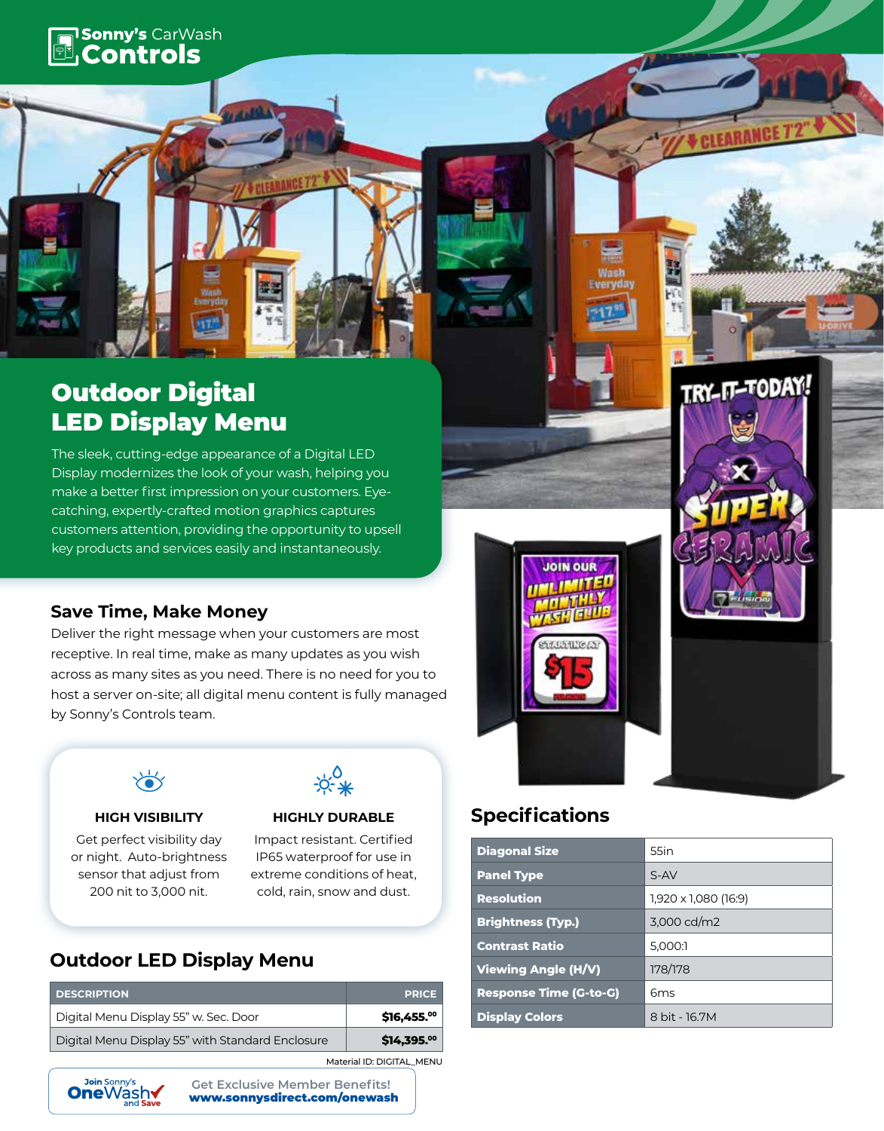# **Fill Sonny's CarWash**

# Outdoor Digital LED Display Menu

The sleek, cutting-edge appearance of a Digital LED Display modernizes the look of your wash, helping you make a better first impression on your customers. Eyecatching, expertly-crafted motion graphics captures customers attention, providing the opportunity to upsell key products and services easily and instantaneously.

### **Save Time, Make Money**

Deliver the right message when your customers are most receptive. In real time, make as many updates as you wish across as many sites as you need. There is no need for you to host a server on-site; all digital menu content is fully managed by Sonny's Controls team.



Get perfect visibility day or night. Auto-brightness sensor that adjust from 200 nit to 3,000 nit.

#### **HIGH VISIBILITY HIGHLY DURABLE**

Impact resistant. Certified IP65 waterproof for use in extreme conditions of heat, cold, rain, snow and dust.

# **Outdoor LED Display Menu**

| <b>DESCRIPTION</b>                               | <b>PRICE</b>             |  |  |
|--------------------------------------------------|--------------------------|--|--|
| Digital Menu Display 55" w. Sec. Door            | \$16,455.00              |  |  |
| Digital Menu Display 55" with Standard Enclosure | $$14,395.$ <sup>00</sup> |  |  |
| Material ID: DIGITAL MENU                        |                          |  |  |



www.sonnysdirect.com/onewash **Get Exclusive Member Benefits!**



**JOIN OUR** 

# **Specifications**

| <b>Diagonal Size</b>          | 55in                 |
|-------------------------------|----------------------|
| <b>Panel Type</b>             | $S-AV$               |
| <b>Resolution</b>             | 1,920 x 1,080 (16:9) |
| <b>Brightness (Typ.)</b>      | 3,000 cd/m2          |
| <b>Contrast Ratio</b>         | 5,000:1              |
| <b>Viewing Angle (H/V)</b>    | 178/178              |
| <b>Response Time (G-to-G)</b> | 6 <sub>ms</sub>      |
| <b>Display Colors</b>         | 8 bit - 16.7M        |

TRY-IT-TODAY!